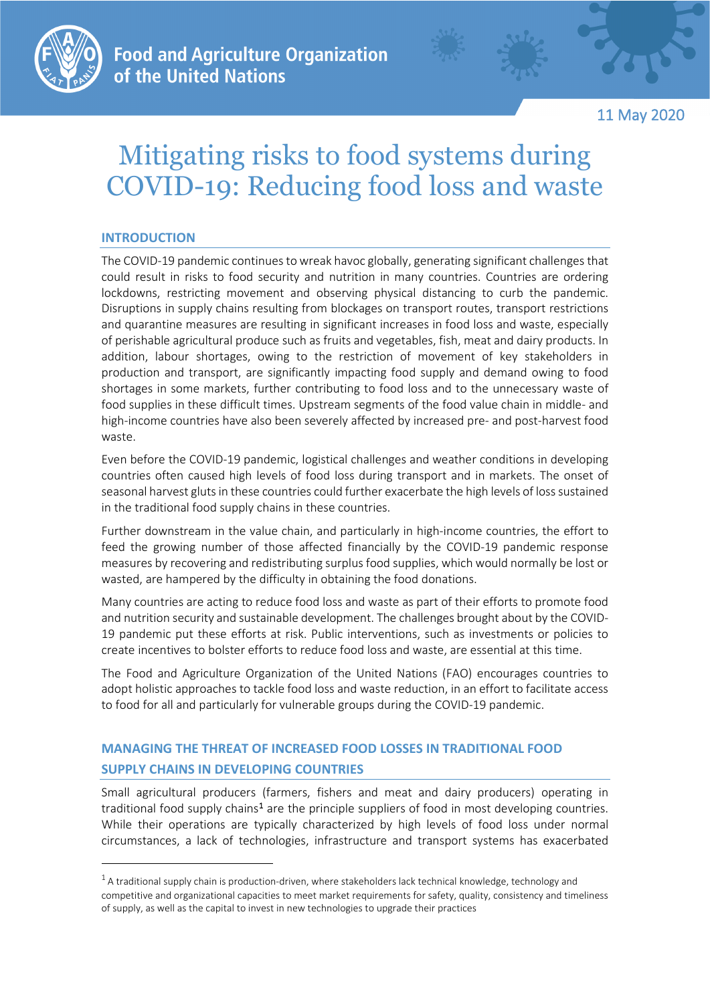

**Food and Agriculture Organization** of the United Nations

11 May 2020

# Mitigating risks to food systems during COVID-19: Reducing food loss and waste

## **INTRODUCTION**

The COVID-19 pandemic continues to wreak havoc globally, generating significant challenges that could result in risks to food security and nutrition in many countries. Countries are ordering lockdowns, restricting movement and observing physical distancing to curb the pandemic. Disruptions in supply chains resulting from blockages on transport routes, transport restrictions and quarantine measures are resulting in significant increases in food loss and waste, especially of perishable agricultural produce such as fruits and vegetables, fish, meat and dairy products. In addition, labour shortages, owing to the restriction of movement of key stakeholders in production and transport, are significantly impacting food supply and demand owing to food shortages in some markets, further contributing to food loss and to the unnecessary waste of food supplies in these difficult times. Upstream segments of the food value chain in middle- and high-income countries have also been severely affected by increased pre- and post-harvest food waste.

Even before the COVID-19 pandemic, logistical challenges and weather conditions in developing countries often caused high levels of food loss during transport and in markets. The onset of seasonal harvest gluts in these countries could further exacerbate the high levels of loss sustained in the traditional food supply chains in these countries.

Further downstream in the value chain, and particularly in high-income countries, the effort to feed the growing number of those affected financially by the COVID-19 pandemic response measures by recovering and redistributing surplus food supplies, which would normally be lost or wasted, are hampered by the difficulty in obtaining the food donations.

Many countries are acting to reduce food loss and waste as part of their efforts to promote food and nutrition security and sustainable development. The challenges brought about by the COVID-19 pandemic put these efforts at risk. Public interventions, such as investments or policies to create incentives to bolster efforts to reduce food loss and waste, are essential at this time.

The Food and Agriculture Organization of the United Nations (FAO) encourages countries to adopt holistic approaches to tackle food loss and waste reduction, in an effort to facilitate access to food for all and particularly for vulnerable groups during the COVID-19 pandemic.

# **MANAGING THE THREAT OF INCREASED FOOD LOSSES IN TRADITIONAL FOOD SUPPLY CHAINS IN DEVELOPING COUNTRIES**

Small agricultural producers (farmers, fishers and meat and dairy producers) operating in traditional food supply chains<sup>[1](#page-0-0)</sup> are the principle suppliers of food in most developing countries. While their operations are typically characterized by high levels of food loss under normal circumstances, a lack of technologies, infrastructure and transport systems has exacerbated

<span id="page-0-0"></span> $1$  A traditional supply chain is production-driven, where stakeholders lack technical knowledge, technology and competitive and organizational capacities to meet market requirements for safety, quality, consistency and timeliness of supply, as well as the capital to invest in new technologies to upgrade their practices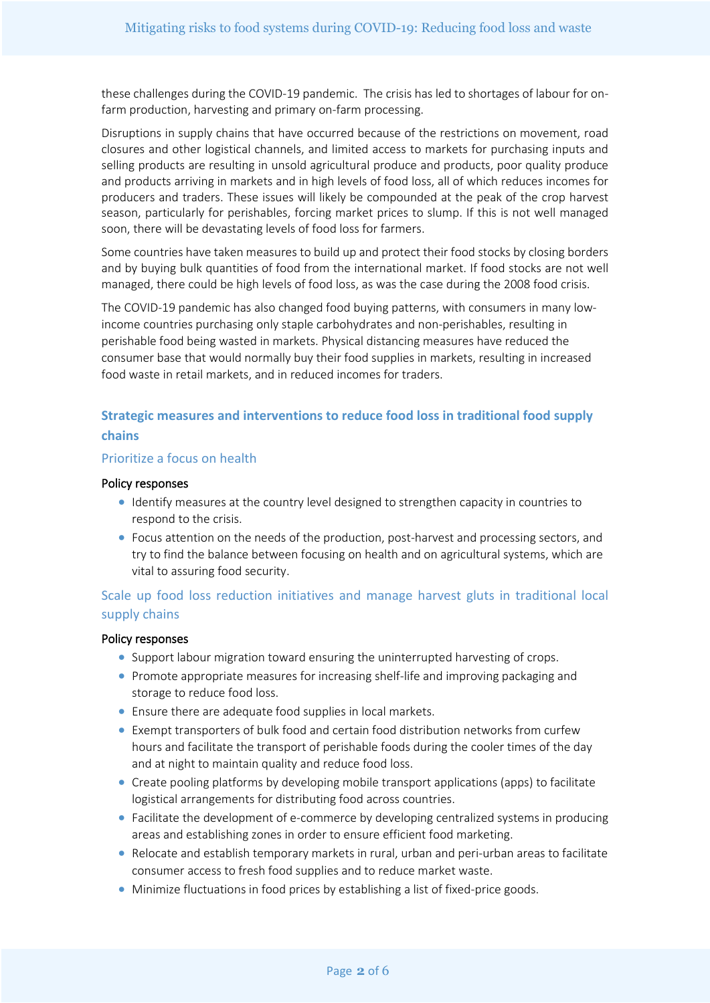these challenges during the COVID-19 pandemic. The crisis has led to shortages of labour for onfarm production, harvesting and primary on-farm processing.

Disruptions in supply chains that have occurred because of the restrictions on movement, road closures and other logistical channels, and limited access to markets for purchasing inputs and selling products are resulting in unsold agricultural produce and products, poor quality produce and products arriving in markets and in high levels of food loss, all of which reduces incomes for producers and traders. These issues will likely be compounded at the peak of the crop harvest season, particularly for perishables, forcing market prices to slump. If this is not well managed soon, there will be devastating levels of food loss for farmers.

Some countries have taken measures to build up and protect their food stocks by closing borders and by buying bulk quantities of food from the international market. If food stocks are not well managed, there could be high levels of food loss, as was the case during the 2008 food crisis.

The COVID-19 pandemic has also changed food buying patterns, with consumers in many lowincome countries purchasing only staple carbohydrates and non-perishables, resulting in perishable food being wasted in markets. Physical distancing measures have reduced the consumer base that would normally buy their food supplies in markets, resulting in increased food waste in retail markets, and in reduced incomes for traders.

# **Strategic measures and interventions to reduce food loss in traditional food supply chains**

#### Prioritize a focus on health

#### Policy responses

- Identify measures at the country level designed to strengthen capacity in countries to respond to the crisis.
- Focus attention on the needs of the production, post-harvest and processing sectors, and try to find the balance between focusing on health and on agricultural systems, which are vital to assuring food security.

# Scale up food loss reduction initiatives and manage harvest gluts in traditional local supply chains

## Policy responses

- Support labour migration toward ensuring the uninterrupted harvesting of crops.
- Promote appropriate measures for increasing shelf-life and improving packaging and storage to reduce food loss.
- Ensure there are adequate food supplies in local markets.
- Exempt transporters of bulk food and certain food distribution networks from curfew hours and facilitate the transport of perishable foods during the cooler times of the day and at night to maintain quality and reduce food loss.
- Create pooling platforms by developing mobile transport applications (apps) to facilitate logistical arrangements for distributing food across countries.
- Facilitate the development of e-commerce by developing centralized systems in producing areas and establishing zones in order to ensure efficient food marketing.
- Relocate and establish temporary markets in rural, urban and peri-urban areas to facilitate consumer access to fresh food supplies and to reduce market waste.
- Minimize fluctuations in food prices by establishing a list of fixed-price goods.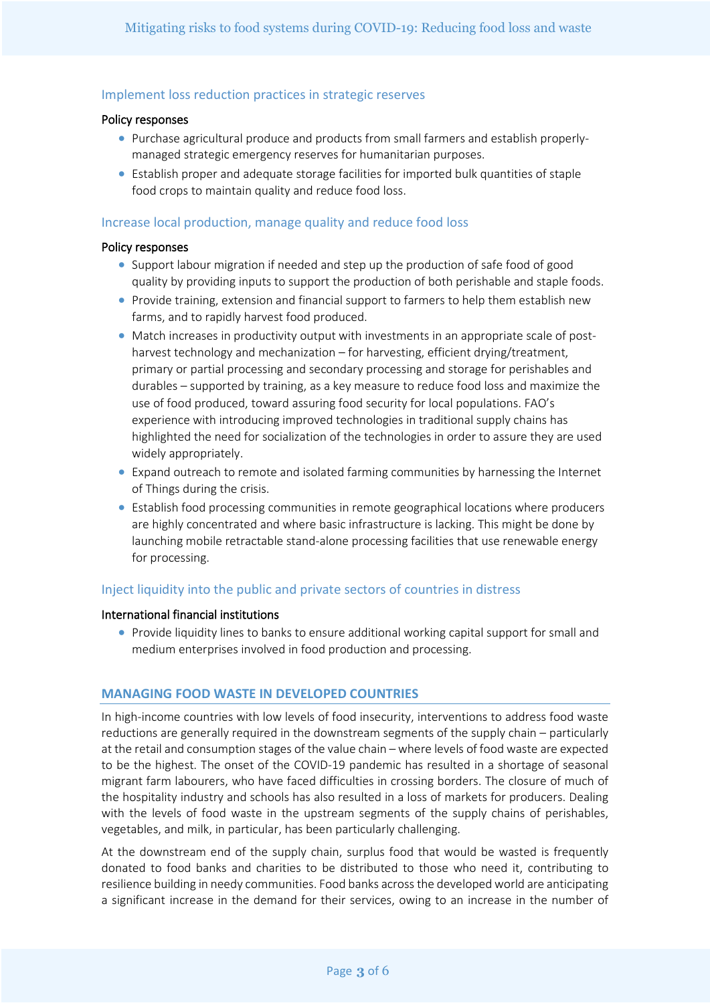## Implement loss reduction practices in strategic reserves

#### Policy responses

- Purchase agricultural produce and products from small farmers and establish properlymanaged strategic emergency reserves for humanitarian purposes.
- Establish proper and adequate storage facilities for imported bulk quantities of staple food crops to maintain quality and reduce food loss.

## Increase local production, manage quality and reduce food loss

#### Policy responses

- Support labour migration if needed and step up the production of safe food of good quality by providing inputs to support the production of both perishable and staple foods.
- Provide training, extension and financial support to farmers to help them establish new farms, and to rapidly harvest food produced.
- Match increases in productivity output with investments in an appropriate scale of postharvest technology and mechanization – for harvesting, efficient drying/treatment, primary or partial processing and secondary processing and storage for perishables and durables – supported by training, as a key measure to reduce food loss and maximize the use of food produced, toward assuring food security for local populations. FAO's experience with introducing improved technologies in traditional supply chains has highlighted the need for socialization of the technologies in order to assure they are used widely appropriately.
- Expand outreach to remote and isolated farming communities by harnessing the Internet of Things during the crisis.
- Establish food processing communities in remote geographical locations where producers are highly concentrated and where basic infrastructure is lacking. This might be done by launching mobile retractable stand-alone processing facilities that use renewable energy for processing.

# Inject liquidity into the public and private sectors of countries in distress

## International financial institutions

• Provide liquidity lines to banks to ensure additional working capital support for small and medium enterprises involved in food production and processing.

## **MANAGING FOOD WASTE IN DEVELOPED COUNTRIES**

In high-income countries with low levels of food insecurity, interventions to address food waste reductions are generally required in the downstream segments of the supply chain – particularly at the retail and consumption stages of the value chain – where levels of food waste are expected to be the highest. The onset of the COVID-19 pandemic has resulted in a shortage of seasonal migrant farm labourers, who have faced difficulties in crossing borders. The closure of much of the hospitality industry and schools has also resulted in a loss of markets for producers. Dealing with the levels of food waste in the upstream segments of the supply chains of perishables, vegetables, and milk, in particular, has been particularly challenging.

At the downstream end of the supply chain, surplus food that would be wasted is frequently donated to food banks and charities to be distributed to those who need it, contributing to resilience building in needy communities. Food banks across the developedworld are anticipating a significant increase in the demand for their services, owing to an increase in the number of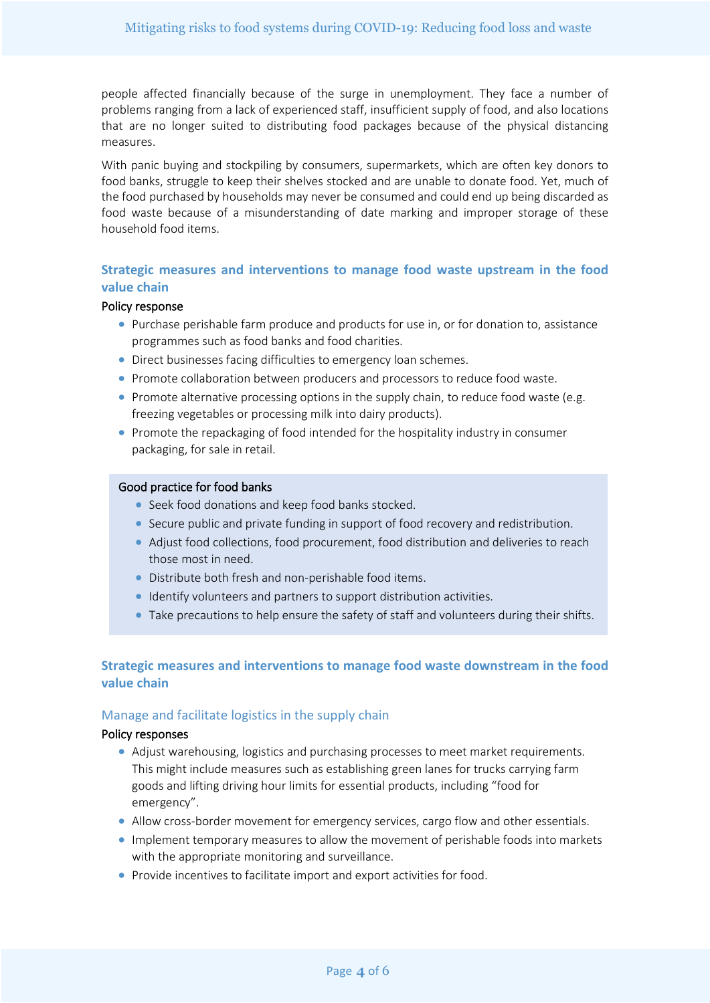people affected financially because of the surge in unemployment. They face a number of problems ranging from a lack of experienced staff, insufficient supply of food, and also locations that are no longer suited to distributing food packages because of the physical distancing measures.

With panic buying and stockpiling by consumers, supermarkets, which are often key donors to food banks, struggle to keep their shelves stocked and are unable to donate food. Yet, much of the food purchased by households may never be consumed and could end up being discarded as food waste because of a misunderstanding of date marking and improper storage of these household food items.

# **Strategic measures and interventions to manage food waste upstream in the food value chain**

## Policy response

- Purchase perishable farm produce and products for use in, or for donation to, assistance programmes such as food banks and food charities.
- Direct businesses facing difficulties to emergency loan schemes.
- Promote collaboration between producers and processors to reduce food waste.
- Promote alternative processing options in the supply chain, to reduce food waste (e.g. freezing vegetables or processing milk into dairy products).
- Promote the repackaging of food intended for the hospitality industry in consumer packaging, for sale in retail.

#### Good practice for food banks

- Seek food donations and keep food banks stocked.
- Secure public and private funding in support of food recovery and redistribution.
- Adjust food collections, food procurement, food distribution and deliveries to reach those most in need.
- Distribute both fresh and non-perishable food items.
- Identify volunteers and partners to support distribution activities.
- Take precautions to help ensure the safety of staff and volunteers during their shifts.

## **Strategic measures and interventions to manage food waste downstream in the food value chain**

#### Manage and facilitate logistics in the supply chain

## Policy responses

- Adjust warehousing, logistics and purchasing processes to meet market requirements. This might include measures such as establishing green lanes for trucks carrying farm goods and lifting driving hour limits for essential products, including "food for emergency".
- Allow cross-border movement for emergency services, cargo flow and other essentials.
- Implement temporary measures to allow the movement of perishable foods into markets with the appropriate monitoring and surveillance.
- Provide incentives to facilitate import and export activities for food.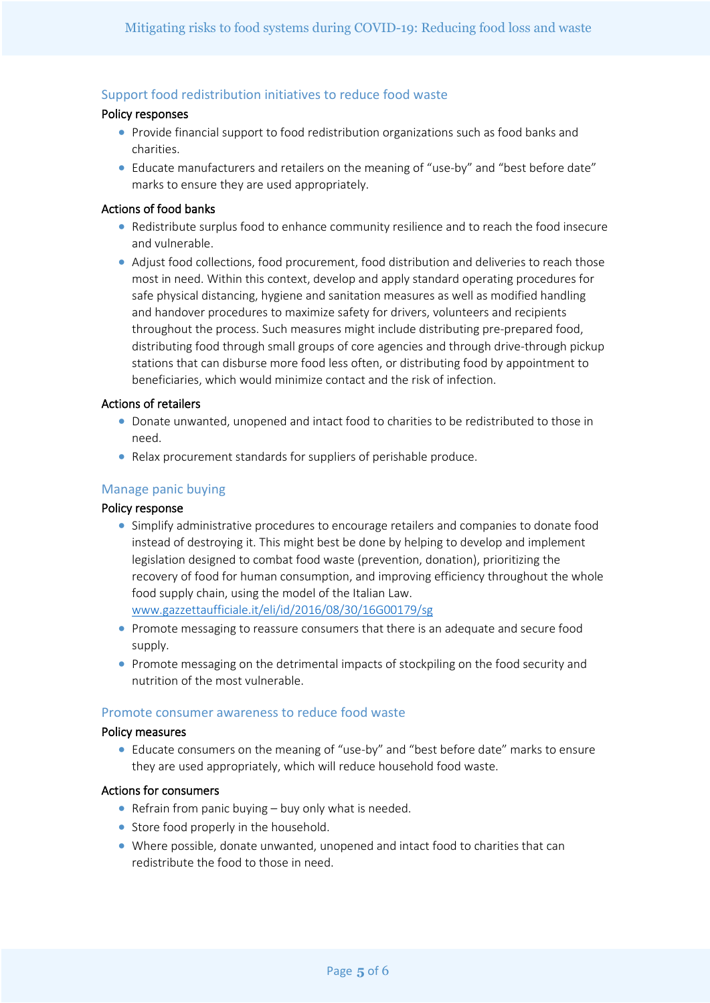# Support food redistribution initiatives to reduce food waste

## Policy responses

- Provide financial support to food redistribution organizations such as food banks and charities.
- Educate manufacturers and retailers on the meaning of "use-by" and "best before date" marks to ensure they are used appropriately.

#### Actions of food banks

- Redistribute surplus food to enhance community resilience and to reach the food insecure and vulnerable.
- Adjust food collections, food procurement, food distribution and deliveries to reach those most in need. Within this context, develop and apply standard operating procedures for safe physical distancing, hygiene and sanitation measures as well as modified handling and handover procedures to maximize safety for drivers, volunteers and recipients throughout the process. Such measures might include distributing pre-prepared food, distributing food through small groups of core agencies and through drive-through pickup stations that can disburse more food less often, or distributing food by appointment to beneficiaries, which would minimize contact and the risk of infection.

#### Actions of retailers

- Donate unwanted, unopened and intact food to charities to be redistributed to those in need.
- Relax procurement standards for suppliers of perishable produce.

## Manage panic buying

## Policy response

- Simplify administrative procedures to encourage retailers and companies to donate food instead of destroying it. This might best be done by helping to develop and implement legislation designed to combat food waste (prevention, donation), prioritizing the recovery of food for human consumption, and improving efficiency throughout the whole food supply chain, using the model of the Italian Law. [www.gazzettaufficiale.it/eli/id/2016/08/30/16G00179/sg](http://www.gazzettaufficiale.it/eli/id/2016/08/30/16G00179/sg)
- Promote messaging to reassure consumers that there is an adequate and secure food supply.
- Promote messaging on the detrimental impacts of stockpiling on the food security and nutrition of the most vulnerable.

#### Promote consumer awareness to reduce food waste

#### Policy measures

• Educate consumers on the meaning of "use-by" and "best before date" marks to ensure they are used appropriately, which will reduce household food waste.

#### Actions for consumers

- Refrain from panic buying buy only what is needed.
- Store food properly in the household.
- Where possible, donate unwanted, unopened and intact food to charities that can redistribute the food to those in need.